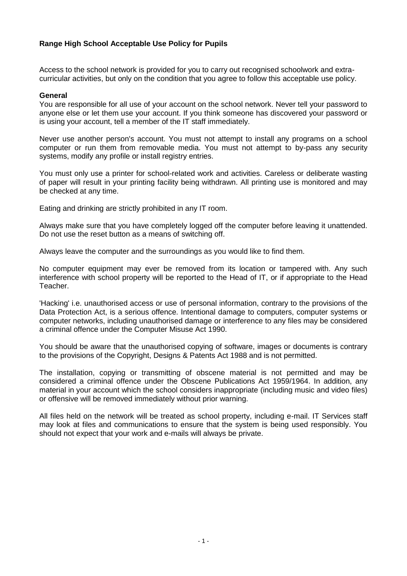# **Range High School Acceptable Use Policy for Pupils**

Access to the school network is provided for you to carry out recognised schoolwork and extracurricular activities, but only on the condition that you agree to follow this acceptable use policy.

### **General**

You are responsible for all use of your account on the school network. Never tell your password to anyone else or let them use your account. If you think someone has discovered your password or is using your account, tell a member of the IT staff immediately.

Never use another person's account. You must not attempt to install any programs on a school computer or run them from removable media. You must not attempt to by-pass any security systems, modify any profile or install registry entries.

You must only use a printer for school-related work and activities. Careless or deliberate wasting of paper will result in your printing facility being withdrawn. All printing use is monitored and may be checked at any time.

Eating and drinking are strictly prohibited in any IT room.

Always make sure that you have completely logged off the computer before leaving it unattended. Do not use the reset button as a means of switching off.

Always leave the computer and the surroundings as you would like to find them.

No computer equipment may ever be removed from its location or tampered with. Any such interference with school property will be reported to the Head of IT, or if appropriate to the Head Teacher.

'Hacking' i.e. unauthorised access or use of personal information, contrary to the provisions of the Data Protection Act, is a serious offence. Intentional damage to computers, computer systems or computer networks, including unauthorised damage or interference to any files may be considered a criminal offence under the Computer Misuse Act 1990.

You should be aware that the unauthorised copying of software, images or documents is contrary to the provisions of the Copyright, Designs & Patents Act 1988 and is not permitted.

The installation, copying or transmitting of obscene material is not permitted and may be considered a criminal offence under the Obscene Publications Act 1959/1964. In addition, any material in your account which the school considers inappropriate (including music and video files) or offensive will be removed immediately without prior warning.

All files held on the network will be treated as school property, including e-mail. IT Services staff may look at files and communications to ensure that the system is being used responsibly. You should not expect that your work and e-mails will always be private.